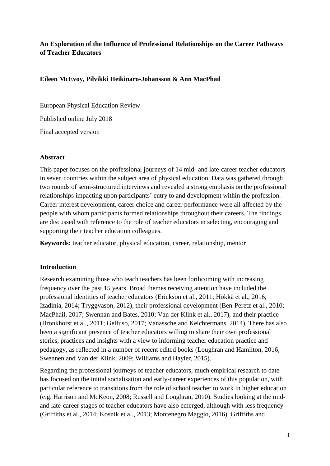# **An Exploration of the Influence of Professional Relationships on the Career Pathways of Teacher Educators**

## **Eileen McEvoy, Pilvikki Heikinaro-Johansson & Ann MacPhail**

European Physical Education Review

Published online July 2018

Final accepted version

### **Abstract**

This paper focuses on the professional journeys of 14 mid- and late-career teacher educators in seven countries within the subject area of physical education. Data was gathered through two rounds of semi-structured interviews and revealed a strong emphasis on the professional relationships impacting upon participants' entry to and development within the profession. Career interest development, career choice and career performance were all affected by the people with whom participants formed relationships throughout their careers. The findings are discussed with reference to the role of teacher educators in selecting, encouraging and supporting their teacher education colleagues.

**Keywords:** teacher educator, physical education, career, relationship, mentor

## **Introduction**

Research examining those who teach teachers has been forthcoming with increasing frequency over the past 15 years. Broad themes receiving attention have included the professional identities of teacher educators (Erickson et al., 2011; Hökkä et al., 2016; Izadinia, 2014; Tryggvason, 2012), their professional development (Ben-Peretz et al., 2010; MacPhail, 2017; Swennan and Bates, 2010; Van der Klink et al., 2017), and their practice (Bronkhorst et al., 2011; Gelfuso, 2017; Vanassche and Kelchtermans, 2014). There has also been a significant presence of teacher educators willing to share their own professional stories, practices and insights with a view to informing teacher education practice and pedagogy, as reflected in a number of recent edited books (Loughran and Hamilton, 2016; Swennen and Van der Klink, 2009; Williams and Hayler, 2015).

Regarding the professional journeys of teacher educators, much empirical research to date has focused on the initial socialisation and early-career experiences of this population, with particular reference to transitions from the role of school teacher to work in higher education (e.g. Harrison and McKeon, 2008; Russell and Loughran, 2010). Studies looking at the midand late-career stages of teacher educators have also emerged, although with less frequency (Griffiths et al., 2014; Kosnik et al., 2013; Montenegro Maggio, 2016). Griffiths and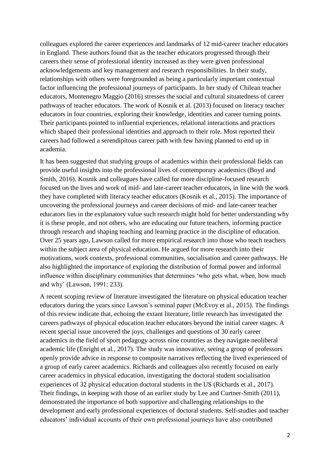colleagues explored the career experiences and landmarks of 12 mid-career teacher educators in England. These authors found that as the teacher educators progressed through their careers their sense of professional identity increased as they were given professional acknowledgements and key management and research responsibilities. In their study, relationships with others were foregrounded as being a particularly important contextual factor influencing the professional journeys of participants. In her study of Chilean teacher educators, Montenegro Maggio (2016) stresses the social and cultural situatedness of career pathways of teacher educators. The work of Kosnik et al. (2013) focused on literacy teacher educators in four countries, exploring their knowledge, identities and career turning points. Their participants pointed to influential experiences, relational interactions and practices which shaped their professional identities and approach to their role. Most reported their careers had followed a serendipitous career path with few having planned to end up in academia.

It has been suggested that studying groups of academics within their professional fields can provide useful insights into the professional lives of contemporary academics (Boyd and Smith, 2016). Kosnik and colleagues have called for more discipline-focused research focused on the lives and work of mid- and late-career teacher educators, in line with the work they have completed with literacy teacher educators (Kosnik et al., 2015). The importance of uncovering the professional journeys and career decisions of mid- and late-career teacher educators lies in the explanatory value such research might hold for better understanding why it is these people, and not others, who are educating our future teachers, informing practice through research and shaping teaching and learning practice in the discipline of education. Over 25 years ago, Lawson called for more empirical research into those who teach teachers within the subject area of physical education. He argued for more research into their motivations, work contexts, professional communities, socialisation and career pathways. He also highlighted the importance of exploring the distribution of formal power and informal influence within disciplinary communities that determines 'who gets what, when, how much and why' (Lawson, 1991: 233).

A recent scoping review of literature investigated the literature on physical education teacher educators during the years since Lawson's seminal paper (McEvoy et al., 2015). The findings of this review indicate that, echoing the extant literature, little research has investigated the careers pathways of physical education teacher educators beyond the initial career stages. A recent special issue uncovered the joys, challenges and questions of 30 early career academics in the field of sport pedagogy across nine countries as they navigate neoliberal academic life (Enright et al., 2017). The study was innovative, seeing a group of professors openly provide advice in response to composite narratives reflecting the lived experienced of a group of early career academics. Richards and colleagues also recently focused on early career academics in physical education, investigating the doctoral student socialisation experiences of 32 physical education doctoral students in the US (Richards et al., 2017). Their findings, in keeping with those of an earlier study by Lee and Curtner-Smith (2011), demonstrated the importance of both supportive and challenging relationships to the development and early professional experiences of doctoral students. Self-studies and teacher educators' individual accounts of their own professional journeys have also contributed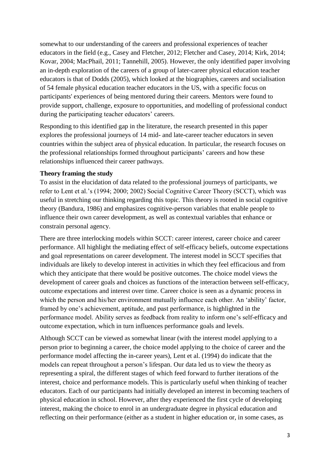somewhat to our understanding of the careers and professional experiences of teacher educators in the field (e.g., Casey and Fletcher, 2012; Fletcher and Casey, 2014; Kirk, 2014; Kovar, 2004; MacPhail, 2011; Tannehill, 2005). However, the only identified paper involving an in-depth exploration of the careers of a group of later-career physical education teacher educators is that of Dodds (2005), which looked at the biographies, careers and socialisation of 54 female physical education teacher educators in the US, with a specific focus on participants' experiences of being mentored during their careers. Mentors were found to provide support, challenge, exposure to opportunities, and modelling of professional conduct during the participating teacher educators' careers.

Responding to this identified gap in the literature, the research presented in this paper explores the professional journeys of 14 mid- and late-career teacher educators in seven countries within the subject area of physical education. In particular, the research focuses on the professional relationships formed throughout participants' careers and how these relationships influenced their career pathways.

### **Theory framing the study**

To assist in the elucidation of data related to the professional journeys of participants, we refer to Lent et al.'s (1994; 2000; 2002) Social Cognitive Career Theory (SCCT), which was useful in stretching our thinking regarding this topic. This theory is rooted in social cognitive theory (Bandura, 1986) and emphasizes cognitive-person variables that enable people to influence their own career development, as well as contextual variables that enhance or constrain personal agency.

There are three interlocking models within SCCT: career interest, career choice and career performance. All highlight the mediating effect of self-efficacy beliefs, outcome expectations and goal representations on career development. The interest model in SCCT specifies that individuals are likely to develop interest in activities in which they feel efficacious and from which they anticipate that there would be positive outcomes. The choice model views the development of career goals and choices as functions of the interaction between self-efficacy, outcome expectations and interest over time. Career choice is seen as a dynamic process in which the person and his/her environment mutually influence each other. An 'ability' factor, framed by one's achievement, aptitude, and past performance, is highlighted in the performance model. Ability serves as feedback from reality to inform one's self-efficacy and outcome expectation, which in turn influences performance goals and levels.

Although SCCT can be viewed as somewhat linear (with the interest model applying to a person prior to beginning a career, the choice model applying to the choice of career and the performance model affecting the in-career years), Lent et al. (1994) do indicate that the models can repeat throughout a person's lifespan. Our data led us to view the theory as representing a spiral, the different stages of which feed forward to further iterations of the interest, choice and performance models. This is particularly useful when thinking of teacher educators. Each of our participants had initially developed an interest in becoming teachers of physical education in school. However, after they experienced the first cycle of developing interest, making the choice to enrol in an undergraduate degree in physical education and reflecting on their performance (either as a student in higher education or, in some cases, as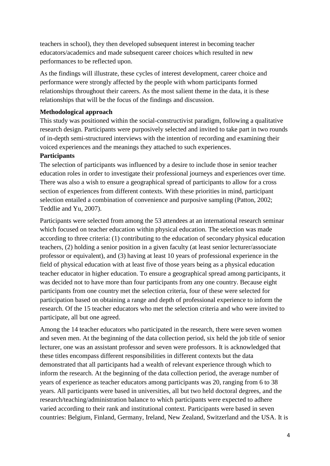teachers in school), they then developed subsequent interest in becoming teacher educators/academics and made subsequent career choices which resulted in new performances to be reflected upon.

As the findings will illustrate, these cycles of interest development, career choice and performance were strongly affected by the people with whom participants formed relationships throughout their careers. As the most salient theme in the data, it is these relationships that will be the focus of the findings and discussion.

#### **Methodological approach**

This study was positioned within the social-constructivist paradigm, following a qualitative research design. Participants were purposively selected and invited to take part in two rounds of in-depth semi-structured interviews with the intention of recording and examining their voiced experiences and the meanings they attached to such experiences.

## **Participants**

The selection of participants was influenced by a desire to include those in senior teacher education roles in order to investigate their professional journeys and experiences over time. There was also a wish to ensure a geographical spread of participants to allow for a cross section of experiences from different contexts. With these priorities in mind, participant selection entailed a combination of convenience and purposive sampling (Patton, 2002; Teddlie and Yu, 2007).

Participants were selected from among the 53 attendees at an international research seminar which focused on teacher education within physical education. The selection was made according to three criteria: (1) contributing to the education of secondary physical education teachers, (2) holding a senior position in a given faculty (at least senior lecturer/associate professor or equivalent), and (3) having at least 10 years of professional experience in the field of physical education with at least five of those years being as a physical education teacher educator in higher education. To ensure a geographical spread among participants, it was decided not to have more than four participants from any one country. Because eight participants from one country met the selection criteria, four of these were selected for participation based on obtaining a range and depth of professional experience to inform the research. Of the 15 teacher educators who met the selection criteria and who were invited to participate, all but one agreed.

Among the 14 teacher educators who participated in the research, there were seven women and seven men. At the beginning of the data collection period, six held the job title of senior lecturer, one was an assistant professor and seven were professors. It is acknowledged that these titles encompass different responsibilities in different contexts but the data demonstrated that all participants had a wealth of relevant experience through which to inform the research. At the beginning of the data collection period, the average number of years of experience as teacher educators among participants was 20, ranging from 6 to 38 years. All participants were based in universities, all but two held doctoral degrees, and the research/teaching/administration balance to which participants were expected to adhere varied according to their rank and institutional context. Participants were based in seven countries: Belgium, Finland, Germany, Ireland, New Zealand, Switzerland and the USA. It is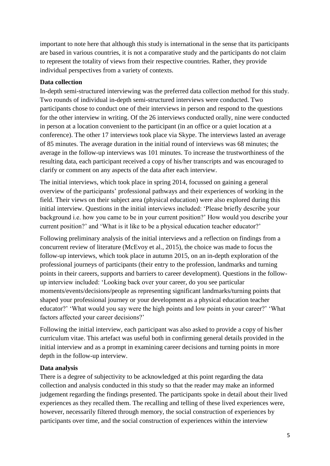important to note here that although this study is international in the sense that its participants are based in various countries, it is not a comparative study and the participants do not claim to represent the totality of views from their respective countries. Rather, they provide individual perspectives from a variety of contexts.

## **Data collection**

In-depth semi-structured interviewing was the preferred data collection method for this study. Two rounds of individual in-depth semi-structured interviews were conducted. Two participants chose to conduct one of their interviews in person and respond to the questions for the other interview in writing. Of the 26 interviews conducted orally, nine were conducted in person at a location convenient to the participant (in an office or a quiet location at a conference). The other 17 interviews took place via Skype. The interviews lasted an average of 85 minutes. The average duration in the initial round of interviews was 68 minutes; the average in the follow-up interviews was 101 minutes. To increase the trustworthiness of the resulting data, each participant received a copy of his/her transcripts and was encouraged to clarify or comment on any aspects of the data after each interview.

The initial interviews, which took place in spring 2014, focussed on gaining a general overview of the participants' professional pathways and their experiences of working in the field. Their views on their subject area (physical education) were also explored during this initial interview. Questions in the initial interviews included: 'Please briefly describe your background i.e. how you came to be in your current position?' How would you describe your current position?' and 'What is it like to be a physical education teacher educator?'

Following preliminary analysis of the initial interviews and a reflection on findings from a concurrent review of literature (McEvoy et al., 2015), the choice was made to focus the follow-up interviews, which took place in autumn 2015, on an in-depth exploration of the professional journeys of participants (their entry to the profession, landmarks and turning points in their careers, supports and barriers to career development). Questions in the followup interview included: 'Looking back over your career, do you see particular moments/events/decisions/people as representing significant landmarks/turning points that shaped your professional journey or your development as a physical education teacher educator?' 'What would you say were the high points and low points in your career?' 'What factors affected your career decisions?'

Following the initial interview, each participant was also asked to provide a copy of his/her curriculum vitae. This artefact was useful both in confirming general details provided in the initial interview and as a prompt in examining career decisions and turning points in more depth in the follow-up interview.

## **Data analysis**

There is a degree of subjectivity to be acknowledged at this point regarding the data collection and analysis conducted in this study so that the reader may make an informed judgement regarding the findings presented. The participants spoke in detail about their lived experiences as they recalled them. The recalling and telling of these lived experiences were, however, necessarily filtered through memory, the social construction of experiences by participants over time, and the social construction of experiences within the interview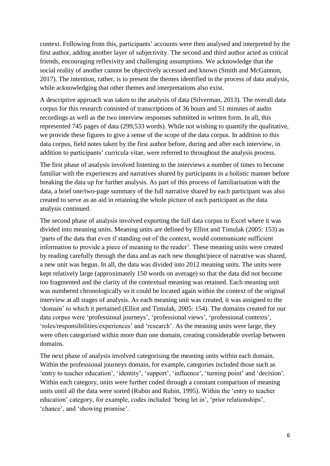context. Following from this, participants' accounts were then analysed and interpreted by the first author, adding another layer of subjectivity. The second and third author acted as critical friends, encouraging reflexivity and challenging assumptions. We acknowledge that the social reality of another cannot be objectively accessed and known (Smith and McGannon, 2017). The intention, rather, is to present the themes identified in the process of data analysis, while acknowledging that other themes and interpretations also exist.

A descriptive approach was taken to the analysis of data (Silverman, 2013). The overall data corpus for this research consisted of transcriptions of 36 hours and 51 minutes of audio recordings as well as the two interview responses submitted in written form. In all, this represented 745 pages of data (299,533 words). While not wishing to quantify the qualitative, we provide these figures to give a sense of the scope of the data corpus. In addition to this data corpus, field notes taken by the first author before, during and after each interview, in addition to participants' curricula vitae, were referred to throughout the analysis process.

The first phase of analysis involved listening to the interviews a number of times to become familiar with the experiences and narratives shared by participants in a holistic manner before breaking the data up for further analysis. As part of this process of familiarisation with the data, a brief one/two-page summary of the full narrative shared by each participant was also created to serve as an aid in retaining the whole picture of each participant as the data analysis continued.

The second phase of analysis involved exporting the full data corpus to Excel where it was divided into meaning units. Meaning units are defined by Elliot and Timulak (2005: 153) as 'parts of the data that even if standing out of the context, would communicate sufficient information to provide a piece of meaning to the reader'. These meaning units were created by reading carefully through the data and as each new thought/piece of narrative was shared, a new unit was begun. In all, the data was divided into 2012 meaning units. The units were kept relatively large (approximately 150 words on average) so that the data did not become too fragmented and the clarity of the contextual meaning was retained. Each meaning unit was numbered chronologically so it could be located again within the context of the original interview at all stages of analysis. As each meaning unit was created, it was assigned to the 'domain' to which it pertained (Elliot and Timulak, 2005: 154). The domains created for our data corpus were 'professional journeys', 'professional views', 'professional contexts', 'roles/responsibilities/experiences' and 'research'. As the meaning units were large, they were often categorised within more than one domain, creating considerable overlap between domains.

The next phase of analysis involved categorising the meaning units within each domain. Within the professional journeys domain, for example, categories included those such as 'entry to teacher education', 'identity', 'support', 'influence', 'turning point' and 'decision'. Within each category, units were further coded through a constant comparison of meaning units until all the data were sorted (Rubin and Rubin, 1995). Within the 'entry to teacher education' category, for example, codes included 'being let in', 'prior relationships', 'chance', and 'showing promise'.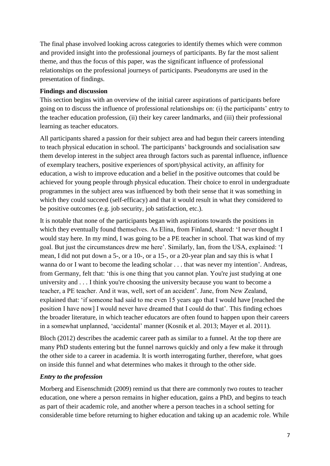The final phase involved looking across categories to identify themes which were common and provided insight into the professional journeys of participants. By far the most salient theme, and thus the focus of this paper, was the significant influence of professional relationships on the professional journeys of participants. Pseudonyms are used in the presentation of findings.

## **Findings and discussion**

This section begins with an overview of the initial career aspirations of participants before going on to discuss the influence of professional relationships on: (i) the participants' entry to the teacher education profession, (ii) their key career landmarks, and (iii) their professional learning as teacher educators.

All participants shared a passion for their subject area and had begun their careers intending to teach physical education in school. The participants' backgrounds and socialisation saw them develop interest in the subject area through factors such as parental influence, influence of exemplary teachers, positive experiences of sport/physical activity, an affinity for education, a wish to improve education and a belief in the positive outcomes that could be achieved for young people through physical education. Their choice to enrol in undergraduate programmes in the subject area was influenced by both their sense that it was something in which they could succeed (self-efficacy) and that it would result in what they considered to be positive outcomes (e.g. job security, job satisfaction, etc.).

It is notable that none of the participants began with aspirations towards the positions in which they eventually found themselves. As Elina, from Finland, shared: 'I never thought I would stay here. In my mind, I was going to be a PE teacher in school. That was kind of my goal. But just the circumstances drew me here'. Similarly, Ian, from the USA, explained: 'I mean, I did not put down a 5-, or a 10-, or a 15-, or a 20-year plan and say this is what I wanna do or I want to become the leading scholar . . . that was never my intention'. Andreas, from Germany, felt that: 'this is one thing that you cannot plan. You're just studying at one university and . . . I think you're choosing the university because you want to become a teacher, a PE teacher. And it was, well, sort of an accident'. Jane, from New Zealand, explained that: 'if someone had said to me even 15 years ago that I would have [reached the position I have now] I would never have dreamed that I could do that'. This finding echoes the broader literature, in which teacher educators are often found to happen upon their careers in a somewhat unplanned, 'accidental' manner (Kosnik et al. 2013; Mayer et al. 2011).

Bloch (2012) describes the academic career path as similar to a funnel. At the top there are many PhD students entering but the funnel narrows quickly and only a few make it through the other side to a career in academia. It is worth interrogating further, therefore, what goes on inside this funnel and what determines who makes it through to the other side.

### *Entry to the profession*

Morberg and Eisenschmidt (2009) remind us that there are commonly two routes to teacher education, one where a person remains in higher education, gains a PhD, and begins to teach as part of their academic role, and another where a person teaches in a school setting for considerable time before returning to higher education and taking up an academic role. While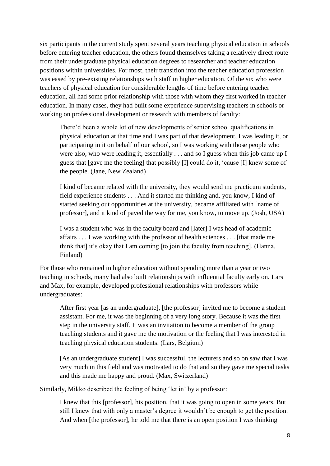six participants in the current study spent several years teaching physical education in schools before entering teacher education, the others found themselves taking a relatively direct route from their undergraduate physical education degrees to researcher and teacher education positions within universities. For most, their transition into the teacher education profession was eased by pre-existing relationships with staff in higher education. Of the six who were teachers of physical education for considerable lengths of time before entering teacher education, all had some prior relationship with those with whom they first worked in teacher education. In many cases, they had built some experience supervising teachers in schools or working on professional development or research with members of faculty:

There'd been a whole lot of new developments of senior school qualifications in physical education at that time and I was part of that development, I was leading it, or participating in it on behalf of our school, so I was working with those people who were also, who were leading it, essentially . . . and so I guess when this job came up I guess that [gave me the feeling] that possibly [I] could do it, 'cause [I] knew some of the people. (Jane, New Zealand)

I kind of became related with the university, they would send me practicum students, field experience students . . . And it started me thinking and, you know, I kind of started seeking out opportunities at the university, became affiliated with [name of professor], and it kind of paved the way for me, you know, to move up. (Josh, USA)

I was a student who was in the faculty board and [later] I was head of academic affairs . . . I was working with the professor of health sciences . . . [that made me think that] it's okay that I am coming [to join the faculty from teaching]. (Hanna, Finland)

For those who remained in higher education without spending more than a year or two teaching in schools, many had also built relationships with influential faculty early on. Lars and Max, for example, developed professional relationships with professors while undergraduates:

After first year [as an undergraduate], [the professor] invited me to become a student assistant. For me, it was the beginning of a very long story. Because it was the first step in the university staff. It was an invitation to become a member of the group teaching students and it gave me the motivation or the feeling that I was interested in teaching physical education students. (Lars, Belgium)

[As an undergraduate student] I was successful, the lecturers and so on saw that I was very much in this field and was motivated to do that and so they gave me special tasks and this made me happy and proud. (Max, Switzerland)

Similarly, Mikko described the feeling of being 'let in' by a professor:

I knew that this [professor], his position, that it was going to open in some years. But still I knew that with only a master's degree it wouldn't be enough to get the position. And when [the professor], he told me that there is an open position I was thinking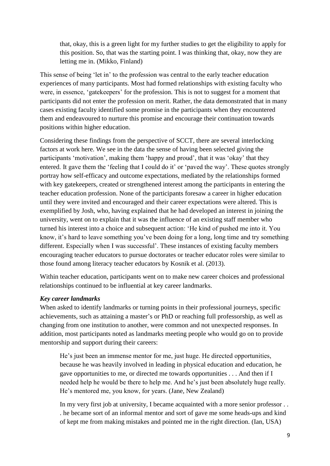that, okay, this is a green light for my further studies to get the eligibility to apply for this position. So, that was the starting point. I was thinking that, okay, now they are letting me in. (Mikko, Finland)

This sense of being 'let in' to the profession was central to the early teacher education experiences of many participants. Most had formed relationships with existing faculty who were, in essence, 'gatekeepers' for the profession. This is not to suggest for a moment that participants did not enter the profession on merit. Rather, the data demonstrated that in many cases existing faculty identified some promise in the participants when they encountered them and endeavoured to nurture this promise and encourage their continuation towards positions within higher education.

Considering these findings from the perspective of SCCT, there are several interlocking factors at work here. We see in the data the sense of having been selected giving the participants 'motivation', making them 'happy and proud', that it was 'okay' that they entered. It gave them the 'feeling that I could do it' or 'paved the way'. These quotes strongly portray how self-efficacy and outcome expectations, mediated by the relationships formed with key gatekeepers, created or strengthened interest among the participants in entering the teacher education profession. None of the participants foresaw a career in higher education until they were invited and encouraged and their career expectations were altered. This is exemplified by Josh, who, having explained that he had developed an interest in joining the university, went on to explain that it was the influence of an existing staff member who turned his interest into a choice and subsequent action: 'He kind of pushed me into it. You know, it's hard to leave something you've been doing for a long, long time and try something different. Especially when I was successful'. These instances of existing faculty members encouraging teacher educators to pursue doctorates or teacher educator roles were similar to those found among literacy teacher educators by Kosnik et al. (2013).

Within teacher education, participants went on to make new career choices and professional relationships continued to be influential at key career landmarks.

## *Key career landmarks*

When asked to identify landmarks or turning points in their professional journeys, specific achievements, such as attaining a master's or PhD or reaching full professorship, as well as changing from one institution to another, were common and not unexpected responses. In addition, most participants noted as landmarks meeting people who would go on to provide mentorship and support during their careers:

He's just been an immense mentor for me, just huge. He directed opportunities, because he was heavily involved in leading in physical education and education, he gave opportunities to me, or directed me towards opportunities . . . And then if I needed help he would be there to help me. And he's just been absolutely huge really. He's mentored me, you know, for years. (Jane, New Zealand)

In my very first job at university, I became acquainted with a more senior professor... . he became sort of an informal mentor and sort of gave me some heads-ups and kind of kept me from making mistakes and pointed me in the right direction. (Ian, USA)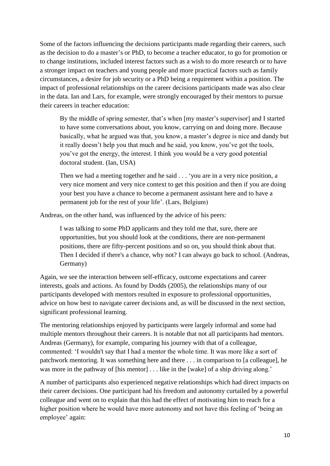Some of the factors influencing the decisions participants made regarding their careers, such as the decision to do a master's or PhD, to become a teacher educator, to go for promotion or to change institutions, included interest factors such as a wish to do more research or to have a stronger impact on teachers and young people and more practical factors such as family circumstances, a desire for job security or a PhD being a requirement within a position. The impact of professional relationships on the career decisions participants made was also clear in the data. Ian and Lars, for example, were strongly encouraged by their mentors to pursue their careers in teacher education:

By the middle of spring semester, that's when [my master's supervisor] and I started to have some conversations about, you know, carrying on and doing more. Because basically, what he argued was that, you know, a master's degree is nice and dandy but it really doesn't help you that much and he said, you know, you've got the tools, you've got the energy, the interest. I think you would be a very good potential doctoral student. (Ian, USA)

Then we had a meeting together and he said . . . 'you are in a very nice position, a very nice moment and very nice context to get this position and then if you are doing your best you have a chance to become a permanent assistant here and to have a permanent job for the rest of your life'. (Lars, Belgium)

Andreas, on the other hand, was influenced by the advice of his peers:

I was talking to some PhD applicants and they told me that, sure, there are opportunities, but you should look at the conditions, there are non-permanent positions, there are fifty-percent positions and so on, you should think about that. Then I decided if there's a chance, why not? I can always go back to school. (Andreas, Germany)

Again, we see the interaction between self-efficacy, outcome expectations and career interests, goals and actions. As found by Dodds (2005), the relationships many of our participants developed with mentors resulted in exposure to professional opportunities, advice on how best to navigate career decisions and, as will be discussed in the next section, significant professional learning.

The mentoring relationships enjoyed by participants were largely informal and some had multiple mentors throughout their careers. It is notable that not all participants had mentors. Andreas (Germany), for example, comparing his journey with that of a colleague, commented: 'I wouldn't say that I had a mentor the whole time. It was more like a sort of patchwork mentoring. It was something here and there . . . in comparison to [a colleague], he was more in the pathway of [his mentor] . . . like in the [wake] of a ship driving along.'

A number of participants also experienced negative relationships which had direct impacts on their career decisions. One participant had his freedom and autonomy curtailed by a powerful colleague and went on to explain that this had the effect of motivating him to reach for a higher position where he would have more autonomy and not have this feeling of 'being an employee' again: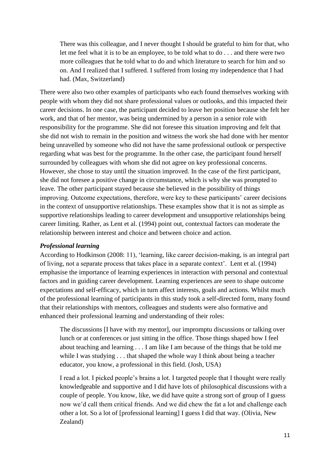There was this colleague, and I never thought I should be grateful to him for that, who let me feel what it is to be an employee, to be told what to do . . . and there were two more colleagues that he told what to do and which literature to search for him and so on. And I realized that I suffered. I suffered from losing my independence that I had had. (Max, Switzerland)

There were also two other examples of participants who each found themselves working with people with whom they did not share professional values or outlooks, and this impacted their career decisions. In one case, the participant decided to leave her position because she felt her work, and that of her mentor, was being undermined by a person in a senior role with responsibility for the programme. She did not foresee this situation improving and felt that she did not wish to remain in the position and witness the work she had done with her mentor being unravelled by someone who did not have the same professional outlook or perspective regarding what was best for the programme. In the other case, the participant found herself surrounded by colleagues with whom she did not agree on key professional concerns. However, she chose to stay until the situation improved. In the case of the first participant, she did not foresee a positive change in circumstance, which is why she was prompted to leave. The other participant stayed because she believed in the possibility of things improving. Outcome expectations, therefore, were key to these participants' career decisions in the context of unsupportive relationships. These examples show that it is not as simple as supportive relationships leading to career development and unsupportive relationships being career limiting. Rather, as Lent et al. (1994) point out, contextual factors can moderate the relationship between interest and choice and between choice and action.

#### *Professional learning*

According to Hodkinson (2008: 11), 'learning, like career decision-making, is an integral part of living, not a separate process that takes place in a separate context'. Lent et al. (1994) emphasise the importance of learning experiences in interaction with personal and contextual factors and in guiding career development. Learning experiences are seen to shape outcome expectations and self-efficacy, which in turn affect interests, goals and actions. Whilst much of the professional learning of participants in this study took a self-directed form, many found that their relationships with mentors, colleagues and students were also formative and enhanced their professional learning and understanding of their roles:

The discussions [I have with my mentor], our impromptu discussions or talking over lunch or at conferences or just sitting in the office. Those things shaped how I feel about teaching and learning . . . I am like I am because of the things that he told me while I was studying . . . that shaped the whole way I think about being a teacher educator, you know, a professional in this field. (Josh, USA)

I read a lot. I picked people's brains a lot. I targeted people that I thought were really knowledgeable and supportive and I did have lots of philosophical discussions with a couple of people. You know, like, we did have quite a strong sort of group of I guess now we'd call them critical friends. And we did chew the fat a lot and challenge each other a lot. So a lot of [professional learning] I guess I did that way. (Olivia, New Zealand)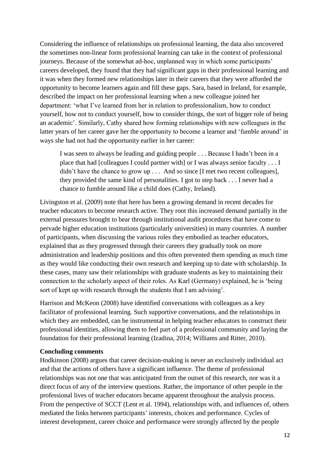Considering the influence of relationships on professional learning, the data also uncovered the sometimes non-linear form professional learning can take in the context of professional journeys. Because of the somewhat ad-hoc, unplanned way in which some participants' careers developed, they found that they had significant gaps in their professional learning and it was when they formed new relationships later in their careers that they were afforded the opportunity to become learners again and fill these gaps. Sara, based in Ireland, for example, described the impact on her professional learning when a new colleague joined her department: 'what I've learned from her in relation to professionalism, how to conduct yourself, how not to conduct yourself, how to consider things, the sort of bigger role of being an academic'. Similarly, Cathy shared how forming relationships with new colleagues in the latter years of her career gave her the opportunity to become a learner and 'fumble around' in ways she had not had the opportunity earlier in her career:

I was seen to always be leading and guiding people . . . Because I hadn't been in a place that had [colleagues I could partner with] or I was always senior faculty . . . I didn't have the chance to grow up . . . And so since [I met two recent colleagues], they provided the same kind of personalities. I got to step back . . . I never had a chance to fumble around like a child does (Cathy, Ireland).

Livingston et al. (2009) note that here has been a growing demand in recent decades for teacher educators to become research active. They root this increased demand partially in the external pressures brought to bear through institutional audit procedures that have come to pervade higher education institutions (particularly universities) in many countries. A number of participants, when discussing the various roles they embodied as teacher educators, explained that as they progressed through their careers they gradually took on more administration and leadership positions and this often prevented them spending as much time as they would like conducting their own research and keeping up to date with scholarship. In these cases, many saw their relationships with graduate students as key to maintaining their connection to the scholarly aspect of their roles. As Karl (Germany) explained, he is 'being sort of kept up with research through the students that I am advising'.

Harrison and McKeon (2008) have identified conversations with colleagues as a key facilitator of professional learning. Such supportive conversations, and the relationships in which they are embedded, can be instrumental in helping teacher educators to construct their professional identities, allowing them to feel part of a professional community and laying the foundation for their professional learning (Izadina, 2014; Williams and Ritter, 2010).

#### **Concluding comments**

Hodkinson (2008) argues that career decision-making is never an exclusively individual act and that the actions of others have a significant influence. The theme of professional relationships was not one that was anticipated from the outset of this research, nor was it a direct focus of any of the interview questions. Rather, the importance of other people in the professional lives of teacher educators became apparent throughout the analysis process. From the perspective of SCCT (Lent et al. 1994), relationships with, and influences of, others mediated the links between participants' interests, choices and performance. Cycles of interest development, career choice and performance were strongly affected by the people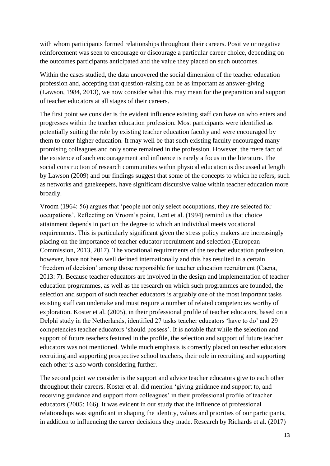with whom participants formed relationships throughout their careers. Positive or negative reinforcement was seen to encourage or discourage a particular career choice, depending on the outcomes participants anticipated and the value they placed on such outcomes.

Within the cases studied, the data uncovered the social dimension of the teacher education profession and, accepting that question-raising can be as important as answer-giving (Lawson, 1984, 2013), we now consider what this may mean for the preparation and support of teacher educators at all stages of their careers.

The first point we consider is the evident influence existing staff can have on who enters and progresses within the teacher education profession. Most participants were identified as potentially suiting the role by existing teacher education faculty and were encouraged by them to enter higher education. It may well be that such existing faculty encouraged many promising colleagues and only some remained in the profession. However, the mere fact of the existence of such encouragement and influence is rarely a focus in the literature. The social construction of research communities within physical education is discussed at length by Lawson (2009) and our findings suggest that some of the concepts to which he refers, such as networks and gatekeepers, have significant discursive value within teacher education more broadly.

Vroom (1964: 56) argues that 'people not only select occupations, they are selected for occupations'. Reflecting on Vroom's point, Lent et al. (1994) remind us that choice attainment depends in part on the degree to which an individual meets vocational requirements. This is particularly significant given the stress policy makers are increasingly placing on the importance of teacher educator recruitment and selection (European Commission, 2013, 2017). The vocational requirements of the teacher education profession, however, have not been well defined internationally and this has resulted in a certain 'freedom of decision' among those responsible for teacher education recruitment (Caena, 2013: 7). Because teacher educators are involved in the design and implementation of teacher education programmes, as well as the research on which such programmes are founded, the selection and support of such teacher educators is arguably one of the most important tasks existing staff can undertake and must require a number of related competencies worthy of exploration. Koster et al. (2005), in their professional profile of teacher educators, based on a Delphi study in the Netherlands, identified 27 tasks teacher educators 'have to do' and 29 competencies teacher educators 'should possess'. It is notable that while the selection and support of future teachers featured in the profile, the selection and support of future teacher educators was not mentioned. While much emphasis is correctly placed on teacher educators recruiting and supporting prospective school teachers, their role in recruiting and supporting each other is also worth considering further.

The second point we consider is the support and advice teacher educators give to each other throughout their careers. Koster et al. did mention 'giving guidance and support to, and receiving guidance and support from colleagues' in their professional profile of teacher educators (2005: 166). It was evident in our study that the influence of professional relationships was significant in shaping the identity, values and priorities of our participants, in addition to influencing the career decisions they made. Research by Richards et al. (2017)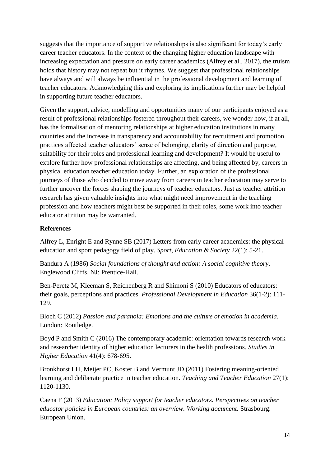suggests that the importance of supportive relationships is also significant for today's early career teacher educators. In the context of the changing higher education landscape with increasing expectation and pressure on early career academics (Alfrey et al., 2017), the truism holds that history may not repeat but it rhymes. We suggest that professional relationships have always and will always be influential in the professional development and learning of teacher educators. Acknowledging this and exploring its implications further may be helpful in supporting future teacher educators.

Given the support, advice, modelling and opportunities many of our participants enjoyed as a result of professional relationships fostered throughout their careers, we wonder how, if at all, has the formalisation of mentoring relationships at higher education institutions in many countries and the increase in transparency and accountability for recruitment and promotion practices affected teacher educators' sense of belonging, clarity of direction and purpose, suitability for their roles and professional learning and development? It would be useful to explore further how professional relationships are affecting, and being affected by, careers in physical education teacher education today. Further, an exploration of the professional journeys of those who decided to move away from careers in teacher education may serve to further uncover the forces shaping the journeys of teacher educators. Just as teacher attrition research has given valuable insights into what might need improvement in the teaching profession and how teachers might best be supported in their roles, some work into teacher educator attrition may be warranted.

### **References**

Alfrey L, Enright E and Rynne SB (2017) Letters from early career academics: the physical education and sport pedagogy field of play. *Sport, Education & Society* 22(1): 5-21.

Bandura A (1986) *Social foundations of thought and action: A social cognitive theory*. Englewood Cliffs, NJ: Prentice-Hall.

Ben-Peretz M, Kleeman S, Reichenberg R and Shimoni S (2010) Educators of educators: their goals, perceptions and practices. *Professional Development in Education* 36(1-2): 111- 129.

Bloch C (2012) *Passion and paranoia: Emotions and the culture of emotion in academia*. London: Routledge.

Boyd P and Smith C (2016) The contemporary academic: orientation towards research work and researcher identity of higher education lecturers in the health professions. *Studies in Higher Education* 41(4): 678-695.

Bronkhorst LH, Meijer PC, Koster B and Vermunt JD (2011) Fostering meaning-oriented learning and deliberate practice in teacher education. *Teaching and Teacher Education* 27(1): 1120-1130.

Caena F (2013) *Education: Policy support for teacher educators. Perspectives on teacher educator policies in European countries: an overview. Working document*. Strasbourg: European Union.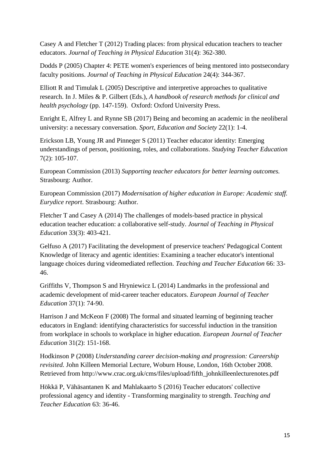Casey A and Fletcher T (2012) Trading places: from physical education teachers to teacher educators. *Journal of Teaching in Physical Education* 31(4): 362-380.

Dodds P (2005) Chapter 4: PETE women's experiences of being mentored into postsecondary faculty positions. *Journal of Teaching in Physical Education* 24(4): 344-367.

Elliott R and Timulak L (2005) Descriptive and interpretive approaches to qualitative research. In J. Miles & P. Gilbert (Eds.), *A handbook of research methods for clinical and health psychology* (pp. 147-159). Oxford: Oxford University Press.

Enright E, Alfrey L and Rynne SB (2017) Being and becoming an academic in the neoliberal university: a necessary conversation. *Sport, Education and Society* 22(1): 1-4.

Erickson LB, Young JR and Pinneger S (2011) Teacher educator identity: Emerging understandings of person, positioning, roles, and collaborations. *Studying Teacher Education*  7(2): 105-107.

European Commission (2013) *Supporting teacher educators for better learning outcomes.* Strasbourg: Author.

European Commission (2017) *Modernisation of higher education in Europe: Academic staff. Eurydice report*. Strasbourg: Author.

Fletcher T and Casey A (2014) The challenges of models-based practice in physical education teacher education: a collaborative self-study. *Journal of Teaching in Physical Education* 33(3): 403-421.

Gelfuso A (2017) Facilitating the development of preservice teachers' Pedagogical Content Knowledge of literacy and agentic identities: Examining a teacher educator's intentional language choices during videomediated reflection. *Teaching and Teacher Education* 66: 33- 46.

Griffiths V, Thompson S and Hryniewicz L (2014) Landmarks in the professional and academic development of mid-career teacher educators. *European Journal of Teacher Education* 37(1): 74-90.

Harrison J and McKeon F (2008) The formal and situated learning of beginning teacher educators in England: identifying characteristics for successful induction in the transition from workplace in schools to workplace in higher education. *European Journal of Teacher Education* 31(2): 151-168.

Hodkinson P (2008) *Understanding career decision-making and progression: Careership revisited.* John Killeen Memorial Lecture, Woburn House, London, 16th October 2008. Retrieved from http://www.crac.org.uk/cms/files/upload/fifth\_johnkilleenlecturenotes.pdf

Hökkä P, Vähäsantanen K and Mahlakaarto S (2016) Teacher educators' collective professional agency and identity - Transforming marginality to strength. *Teaching and Teacher Education* 63: 36-46.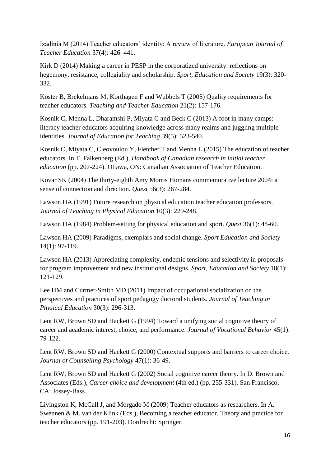Izadinia M (2014) Teacher educators' identity: A review of literature. *European Journal of Teacher Education* 37(4): 426–441.

Kirk D (2014) Making a career in PESP in the corporatized university: reflections on hegemony, resistance, collegiality and scholarship. *Sport, Education and Society* 19(3): 320- 332.

Koster B, Brekelmans M, Korthagen F and Wubbels T (2005) Quality requirements for teacher educators. *Teaching and Teacher Education* 21(2): 157-176.

Kosnik C, Menna L, Dharamshi P, Miyata C and Beck C (2013) A foot in many camps: literacy teacher educators acquiring knowledge across many realms and juggling multiple identities. *Journal of Education for Teaching* 39(5): 523-540.

Kosnik C, Miyata C, Cleovoulou Y, Fletcher T and Menna L (2015) The education of teacher educators. In T. Falkenberg (Ed.), *Handbook of Canadian research in initial teacher education* (pp. 207-224). Ottawa, ON: Canadian Association of Teacher Education.

Kovar SK (2004) The thirty-eighth Amy Morris Homans commemorative lecture 2004: a sense of connection and direction. *Quest* 56(3): 267-284.

Lawson HA (1991) Future research on physical education teacher education professors*. Journal of Teaching in Physical Education* 10(3): 229-248.

Lawson HA (1984) Problem-setting for physical education and sport. *Quest* 36(1): 48-60.

Lawson HA (2009) Paradigms, exemplars and social change. *Sport Education and Society* 14(1): 97-119.

Lawson HA (2013) Appreciating complexity, endemic tensions and selectivity in proposals for program improvement and new institutional designs. *Sport, Education and Society* 18(1): 121-129.

Lee HM and Curtner-Smith MD (2011) Impact of occupational socialization on the perspectives and practices of sport pedagogy doctoral students. *Journal of Teaching in Physical Education* 30(3): 296-313.

Lent RW, Brown SD and Hackett G (1994) Toward a unifying social cognitive theory of career and academic interest, choice, and performance. *Journal of Vocational Behavior* 45(1): 79-122.

Lent RW, Brown SD and Hackett G (2000) Contextual supports and barriers to career choice. *Journal of Counselling Psychology* 47(1): 36-49.

Lent RW, Brown SD and Hackett G (2002) Social cognitive career theory. In D. Brown and Associates (Eds.), *Career choice and development* (4th ed.) (pp. 255-331). San Francisco, CA: Jossey-Bass.

Livingston K, McCall J, and Morgado M (2009) Teacher educators as researchers. In A. Swennen & M. van der Klink (Eds.), Becoming a teacher educator. Theory and practice for teacher educators (pp. 191-203). Dordrecht: Springer.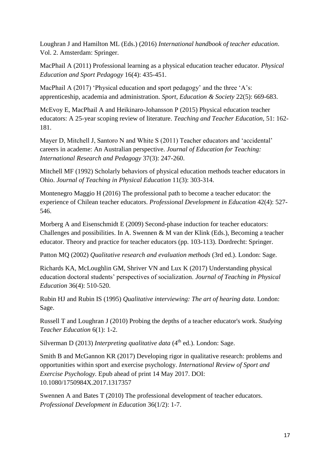Loughran J and Hamilton ML (Eds.) (2016) *International handbook of teacher education*. Vol. 2. Amsterdam: Springer.

MacPhail A (2011) Professional learning as a physical education teacher educator. *Physical Education and Sport Pedagogy* 16(4): 435-451.

MacPhail A (2017) 'Physical education and sport pedagogy' and the three 'A's: apprenticeship, academia and administration. *Sport, Education & Society* 22(5): 669-683.

McEvoy E, MacPhail A and Heikinaro-Johansson P (2015) Physical education teacher educators: A 25-year scoping review of literature. *Teaching and Teacher Education,* 51: 162- 181.

Mayer D, Mitchell J, Santoro N and White S (2011) Teacher educators and 'accidental' careers in academe: An Australian perspective. *Journal of Education for Teaching: International Research and Pedagogy* 37(3): 247-260.

Mitchell MF (1992) Scholarly behaviors of physical education methods teacher educators in Ohio. *Journal of Teaching in Physical Education* 11(3): 303-314.

Montenegro Maggio H (2016) The professional path to become a teacher educator: the experience of Chilean teacher educators. *Professional Development in Education* 42(4): 527- 546.

Morberg A and Eisenschmidt E (2009) Second-phase induction for teacher educators: Challenges and possibilities. In A. Swennen & M van der Klink (Eds.), Becoming a teacher educator. Theory and practice for teacher educators (pp. 103-113). Dordrecht: Springer.

Patton MQ (2002) *Qualitative research and evaluation methods* (3rd ed.). London: Sage.

Richards KA, McLoughlin GM, Shriver VN and Lux K (2017) Understanding physical education doctoral students' perspectives of socialization. *Journal of Teaching in Physical Education* 36(4): 510-520.

Rubin HJ and Rubin IS (1995) *Qualitative interviewing: The art of hearing data*. London: Sage.

Russell T and Loughran J (2010) Probing the depths of a teacher educator's work. *Studying Teacher Education* 6(1): 1-2.

Silverman D (2013) *Interpreting qualitative data* (4<sup>th</sup> ed.). London: Sage.

Smith B and McGannon KR (2017) Developing rigor in qualitative research: problems and opportunities within sport and exercise psychology. *International Review of Sport and Exercise Psychology.* Epub ahead of print 14 May 2017. DOI: 10.1080/1750984X.2017.1317357

Swennen A and Bates T (2010) The professional development of teacher educators. *Professional Development in Education* 36(1/2): 1-7.